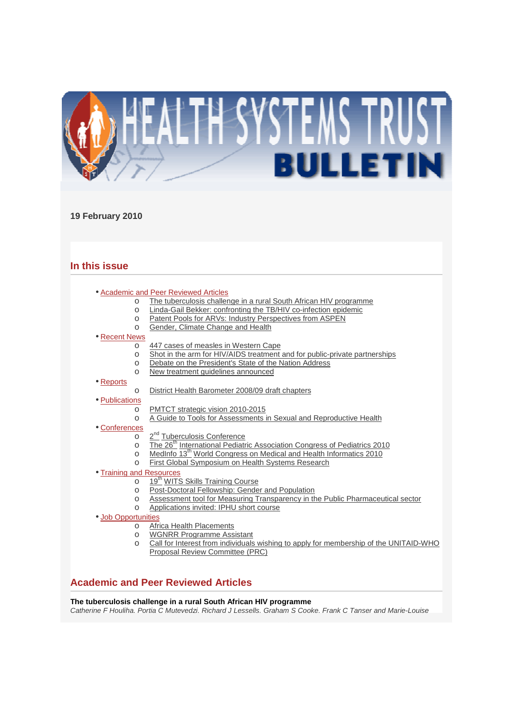

## **19 February 2010**

# **In this issue**

- Academic and Peer Reviewed Articles
	- o The tuberculosis challenge in a rural South African HIV programme
	- o Linda-Gail Bekker: confronting the TB/HIV co-infection epidemic
	- o Patent Pools for ARVs: Industry Perspectives from ASPEN
	- o Gender, Climate Change and Health

## • Recent News

- o 447 cases of measles in Western Cape
- o Shot in the arm for HIV/AIDS treatment and for public-private partnerships
- o Debate on the President's State of the Nation Address
- o New treatment guidelines announced
- Reports

## o District Health Barometer 2008/09 draft chapters

- Publications
	- o PMTCT strategic vision 2010-2015
	- o A Guide to Tools for Assessments in Sexual and Reproductive Health
- Conferences
	- o 2<sup>nd</sup> Tuberculosis Conference
	- o The 26<sup>th</sup> International Pediatric Association Congress of Pediatrics 2010
	- o MedInfo 13<sup>th</sup> World Congress on Medical and Health Informatics 2010
	- o First Global Symposium on Health Systems Research
- Training and Resources
	- o 19<sup>th</sup> WITS Skills Training Course
		- o Post-Doctoral Fellowship: Gender and Population
	- o Assessment tool for Measuring Transparency in the Public Pharmaceutical sector
	- o **Applications invited: IPHU short course**
- Job Opportunities
	- o Africa Health Placements
	- o WGNRR Programme Assistant
	- o Call for Interest from individuals wishing to apply for membership of the UNITAID-WHO Proposal Review Committee (PRC)

# **Academic and Peer Reviewed Articles**

## **The tuberculosis challenge in a rural South African HIV programme**

Catherine F Houliha, Portia C Mutevedzi, Richard J Lessells, Graham S Cooke, Frank C Tanser and Marie-Louise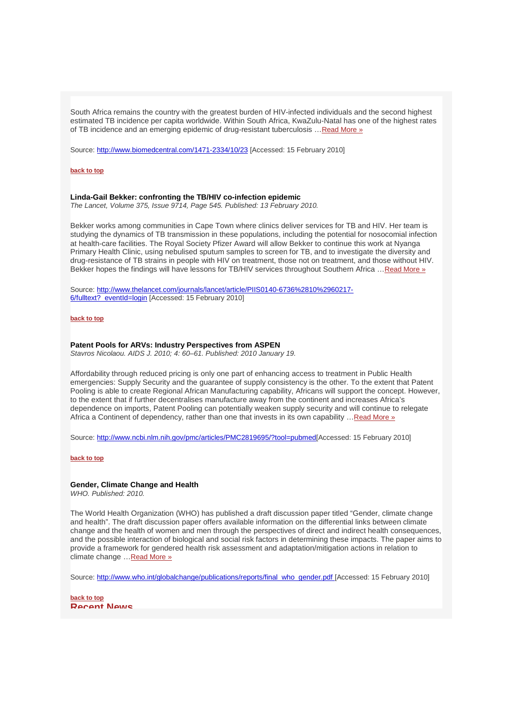South Africa remains the country with the greatest burden of HIV-infected individuals and the second highest estimated TB incidence per capita worldwide. Within South Africa, KwaZulu-Natal has one of the highest rates of TB incidence and an emerging epidemic of drug-resistant tuberculosis …Read More »

Source: http://www.biomedcentral.com/1471-2334/10/23 [Accessed: 15 February 2010]

#### **back to top**

#### **Linda-Gail Bekker: confronting the TB/HIV co-infection epidemic**

The Lancet, Volume 375, Issue 9714, Page 545. Published: 13 February 2010.

Bekker works among communities in Cape Town where clinics deliver services for TB and HIV. Her team is studying the dynamics of TB transmission in these populations, including the potential for nosocomial infection at health-care facilities. The Royal Society Pfizer Award will allow Bekker to continue this work at Nyanga Primary Health Clinic, using nebulised sputum samples to screen for TB, and to investigate the diversity and drug-resistance of TB strains in people with HIV on treatment, those not on treatment, and those without HIV. Bekker hopes the findings will have lessons for TB/HIV services throughout Southern Africa …Read More »

Source: http://www.thelancet.com/journals/lancet/article/PIIS0140-6736%2810%2960217- 6/fulltext? eventId=login [Accessed: 15 February 2010]

#### **back to top**

## **Patent Pools for ARVs: Industry Perspectives from ASPEN**

Stavros Nicolaou. AIDS J. 2010; 4: 60–61. Published: 2010 January 19.

Affordability through reduced pricing is only one part of enhancing access to treatment in Public Health emergencies: Supply Security and the guarantee of supply consistency is the other. To the extent that Patent Pooling is able to create Regional African Manufacturing capability, Africans will support the concept. However, to the extent that if further decentralises manufacture away from the continent and increases Africa's dependence on imports, Patent Pooling can potentially weaken supply security and will continue to relegate Africa a Continent of dependency, rather than one that invests in its own capability ... Read More »

Source: http://www.ncbi.nlm.nih.gov/pmc/articles/PMC2819695/?tool=pubmed[Accessed: 15 February 2010]

#### **back to top**

## **Gender, Climate Change and Health**

WHO. Published: 2010.

The World Health Organization (WHO) has published a draft discussion paper titled "Gender, climate change and health". The draft discussion paper offers available information on the differential links between climate change and the health of women and men through the perspectives of direct and indirect health consequences, and the possible interaction of biological and social risk factors in determining these impacts. The paper aims to provide a framework for gendered health risk assessment and adaptation/mitigation actions in relation to climate change …Read More »

Source: http://www.who.int/globalchange/publications/reports/final\_who\_gender.pdf [Accessed: 15 February 2010]

**back to top Recent News**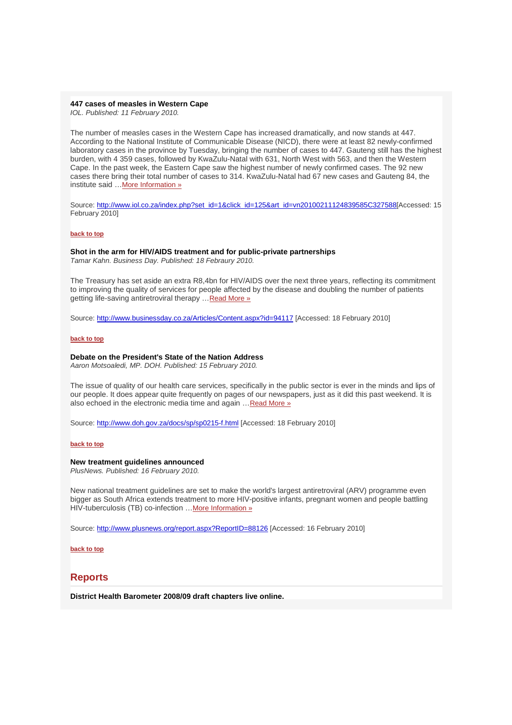## **447 cases of measles in Western Cape**

IOL. Published: 11 February 2010.

The number of measles cases in the Western Cape has increased dramatically, and now stands at 447. According to the National Institute of Communicable Disease (NICD), there were at least 82 newly-confirmed laboratory cases in the province by Tuesday, bringing the number of cases to 447. Gauteng still has the highest burden, with 4 359 cases, followed by KwaZulu-Natal with 631, North West with 563, and then the Western Cape. In the past week, the Eastern Cape saw the highest number of newly confirmed cases. The 92 new cases there bring their total number of cases to 314. KwaZulu-Natal had 67 new cases and Gauteng 84, the institute said …More Information »

Source: http://www.iol.co.za/index.php?set\_id=1&click\_id=125&art\_id=vn20100211124839585C327588[Accessed: 15 February 2010]

## **back to top**

**Shot in the arm for HIV/AIDS treatment and for public-private partnerships**  Tamar Kahn. Business Day. Published: 18 Febraury 2010.

The Treasury has set aside an extra R8,4bn for HIV/AIDS over the next three years, reflecting its commitment to improving the quality of services for people affected by the disease and doubling the number of patients getting life-saving antiretroviral therapy …Read More »

Source: http://www.businessday.co.za/Articles/Content.aspx?id=94117 [Accessed: 18 February 2010]

## **back to top**

## **Debate on the President's State of the Nation Address**

Aaron Motsoaledi, MP. DOH. Published: 15 February 2010.

The issue of quality of our health care services, specifically in the public sector is ever in the minds and lips of our people. It does appear quite frequently on pages of our newspapers, just as it did this past weekend. It is also echoed in the electronic media time and again …Read More »

Source: http://www.doh.gov.za/docs/sp/sp0215-f.html [Accessed: 18 February 2010]

#### **back to top**

## **New treatment guidelines announced**

PlusNews. Published: 16 February 2010.

New national treatment guidelines are set to make the world's largest antiretroviral (ARV) programme even bigger as South Africa extends treatment to more HIV-positive infants, pregnant women and people battling HIV-tuberculosis (TB) co-infection …More Information »

Source: http://www.plusnews.org/report.aspx?ReportID=88126 [Accessed: 16 February 2010]

**back to top**

# **Reports**

**District Health Barometer 2008/09 draft chapters live online.**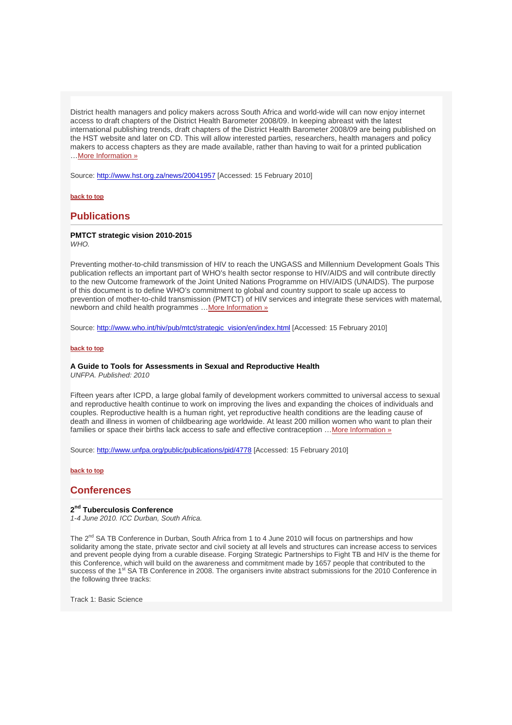District health managers and policy makers across South Africa and world-wide will can now enjoy internet access to draft chapters of the District Health Barometer 2008/09. In keeping abreast with the latest international publishing trends, draft chapters of the District Health Barometer 2008/09 are being published on the HST website and later on CD. This will allow interested parties, researchers, health managers and policy makers to access chapters as they are made available, rather than having to wait for a printed publication …More Information »

Source: http://www.hst.org.za/news/20041957 [Accessed: 15 February 2010]

## **back to top**

# **Publications**

# **PMTCT strategic vision 2010-2015**

**WHO.** 

Preventing mother-to-child transmission of HIV to reach the UNGASS and Millennium Development Goals This publication reflects an important part of WHO's health sector response to HIV/AIDS and will contribute directly to the new Outcome framework of the Joint United Nations Programme on HIV/AIDS (UNAIDS). The purpose of this document is to define WHO's commitment to global and country support to scale up access to prevention of mother-to-child transmission (PMTCT) of HIV services and integrate these services with maternal, newborn and child health programmes …More Information »

Source: http://www.who.int/hiv/pub/mtct/strategic\_vision/en/index.html [Accessed: 15 February 2010]

## **back to top**

## **A Guide to Tools for Assessments in Sexual and Reproductive Health**

UNFPA. Published: 2010

Fifteen years after ICPD, a large global family of development workers committed to universal access to sexual and reproductive health continue to work on improving the lives and expanding the choices of individuals and couples. Reproductive health is a human right, yet reproductive health conditions are the leading cause of death and illness in women of childbearing age worldwide. At least 200 million women who want to plan their families or space their births lack access to safe and effective contraception …More Information »

Source: http://www.unfpa.org/public/publications/pid/4778 [Accessed: 15 February 2010]

## **back to top**

# **Conferences**

## **2 nd Tuberculosis Conference**

1-4 June 2010. ICC Durban, South Africa.

The 2<sup>nd</sup> SA TB Conference in Durban, South Africa from 1 to 4 June 2010 will focus on partnerships and how solidarity among the state, private sector and civil society at all levels and structures can increase access to services and prevent people dying from a curable disease. Forging Strategic Partnerships to Fight TB and HIV is the theme for this Conference, which will build on the awareness and commitment made by 1657 people that contributed to the success of the 1<sup>st</sup> SA TB Conference in 2008. The organisers invite abstract submissions for the 2010 Conference in the following three tracks:

Track 1: Basic Science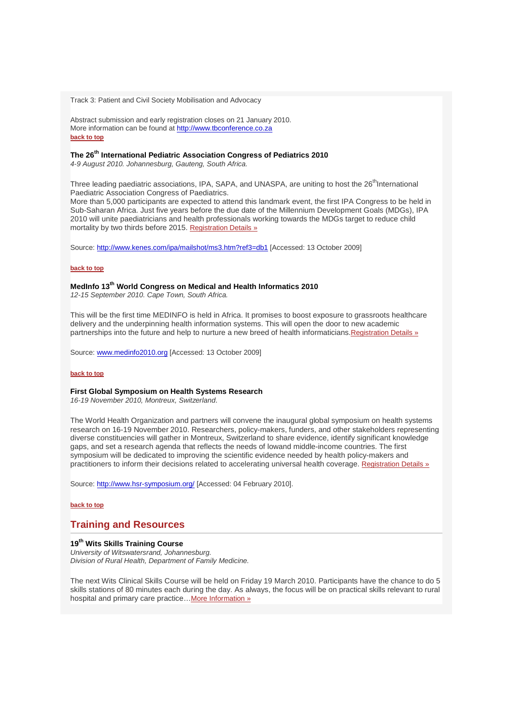Track 3: Patient and Civil Society Mobilisation and Advocacy

Abstract submission and early registration closes on 21 January 2010. More information can be found at http://www.tbconference.co.za **back to top**

# **The 26th International Pediatric Association Congress of Pediatrics 2010**

4-9 August 2010. Johannesburg, Gauteng, South Africa.

Three leading paediatric associations, IPA, SAPA, and UNASPA, are uniting to host the 26<sup>th</sup>International Paediatric Association Congress of Paediatrics.

More than 5,000 participants are expected to attend this landmark event, the first IPA Congress to be held in Sub-Saharan Africa. Just five years before the due date of the Millennium Development Goals (MDGs), IPA 2010 will unite paediatricians and health professionals working towards the MDGs target to reduce child mortality by two thirds before 2015. Registration Details »

Source: http://www.kenes.com/ipa/mailshot/ms3.htm?ref3=db1 [Accessed: 13 October 2009]

## **back to top**

# **MedInfo 13th World Congress on Medical and Health Informatics 2010**

12-15 September 2010. Cape Town, South Africa.

This will be the first time MEDINFO is held in Africa. It promises to boost exposure to grassroots healthcare delivery and the underpinning health information systems. This will open the door to new academic partnerships into the future and help to nurture a new breed of health informaticians.Registration Details »

Source: www.medinfo2010.org [Accessed: 13 October 2009]

## **back to top**

## **First Global Symposium on Health Systems Research**

16-19 November 2010, Montreux, Switzerland.

The World Health Organization and partners will convene the inaugural global symposium on health systems research on 16-19 November 2010. Researchers, policy-makers, funders, and other stakeholders representing diverse constituencies will gather in Montreux, Switzerland to share evidence, identify significant knowledge gaps, and set a research agenda that reflects the needs of lowand middle-income countries. The first symposium will be dedicated to improving the scientific evidence needed by health policy-makers and practitioners to inform their decisions related to accelerating universal health coverage. Registration Details »

Source: http://www.hsr-symposium.org/ [Accessed: 04 February 2010].

## **back to top**

# **Training and Resources**

## **19th Wits Skills Training Course**

University of Witswatersrand, Johannesburg. Division of Rural Health, Department of Family Medicine.

The next Wits Clinical Skills Course will be held on Friday 19 March 2010. Participants have the chance to do 5 skills stations of 80 minutes each during the day. As always, the focus will be on practical skills relevant to rural hospital and primary care practice... More Information »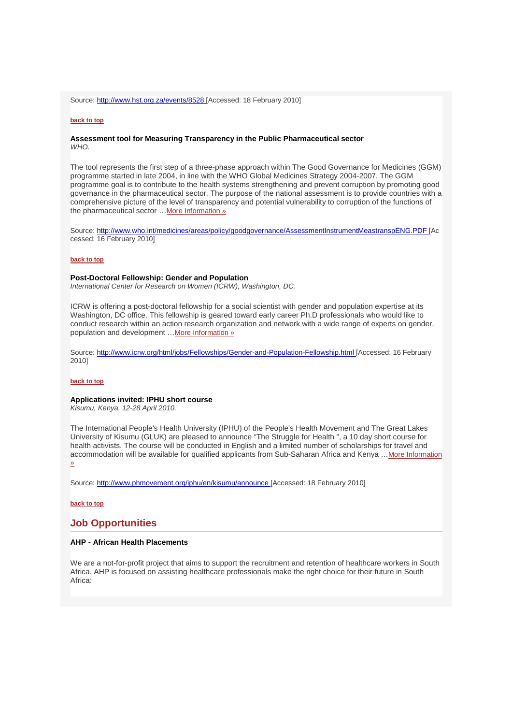Source: http://www.hst.org.za/events/8528 [Accessed: 18 February 2010]

## **back to top**

## **Assessment tool for Measuring Transparency in the Public Pharmaceutical sector**  WHO.

The tool represents the first step of a three-phase approach within The Good Governance for Medicines (GGM) programme started in late 2004, in line with the WHO Global Medicines Strategy 2004-2007. The GGM programme goal is to contribute to the health systems strengthening and prevent corruption by promoting good governance in the pharmaceutical sector. The purpose of the national assessment is to provide countries with a comprehensive picture of the level of transparency and potential vulnerability to corruption of the functions of the pharmaceutical sector …More Information »

Source: http://www.who.int/medicines/areas/policy/goodgovernance/AssessmentInstrumentMeastranspENG.PDF [Ac cessed: 16 February 2010]

## **back to top**

## **Post-Doctoral Fellowship: Gender and Population**

International Center for Research on Women (ICRW), Washington, DC.

ICRW is offering a post-doctoral fellowship for a social scientist with gender and population expertise at its Washington, DC office. This fellowship is geared toward early career Ph.D professionals who would like to conduct research within an action research organization and network with a wide range of experts on gender, population and development ... More Information »

Source: http://www.icrw.org/html/jobs/Fellowships/Gender-and-Population-Fellowship.html [Accessed: 16 February 2010]

#### **back to top**

## **Applications invited: IPHU short course**

Kisumu, Kenya. 12-28 April 2010.

The International People's Health University (IPHU) of the People's Health Movement and The Great Lakes University of Kisumu (GLUK) are pleased to announce "The Struggle for Health ", a 10 day short course for health activists. The course will be conducted in English and a limited number of scholarships for travel and accommodation will be available for qualified applicants from Sub-Saharan Africa and Kenya …More Information »

Source: http://www.phmovement.org/iphu/en/kisumu/announce [Accessed: 18 February 2010]

**back to top**

# **Job Opportunities**

## **AHP - African Health Placements**

We are a not-for-profit project that aims to support the recruitment and retention of healthcare workers in South Africa. AHP is focused on assisting healthcare professionals make the right choice for their future in South Africa: